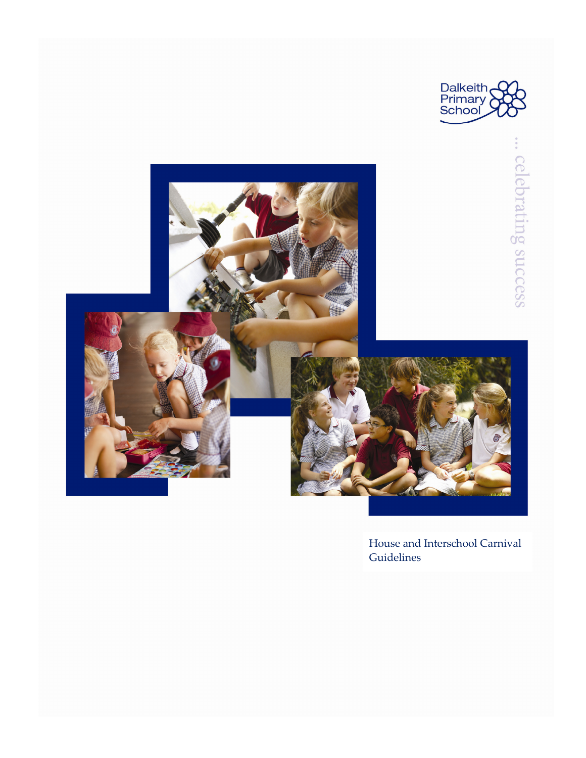



House and Interschool Carnival **Guidelines**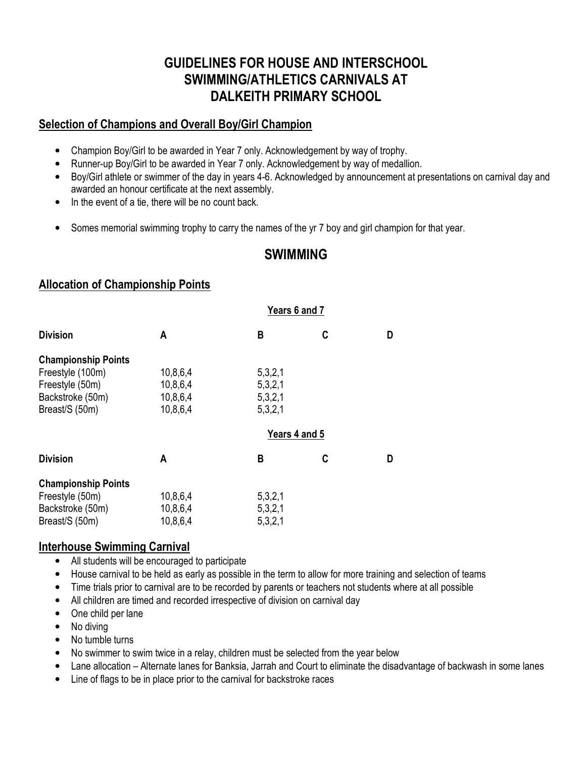# **GUIDELINES FOR HOUSE AND INTERSCHOOL SWIMMING/ATHLETICS CARNIVALS AT DALKEITH PRIMARY SCHOOL**

## **Selection of Champions and Overall Boy/Girl Champion**

- Champion Boy/Girl to be awarded in Year 7 only. Acknowledgement by way of trophy.
- Runner-up Boy/Girl to be awarded in Year 7 only. Acknowledgement by way of medallion.
- Boy/Girl athlete or swimmer of the day in years 4-6. Acknowledged by announcement at presentations on carnival day and awarded an honour certificate at the next assembly.
- In the event of a tie, there will be no count back.
- Somes memorial swimming trophy to carry the names of the yr 7 boy and girl champion for that year.

# **SWIMMING**

#### **Allocation of Championship Points**

| Years 6 and 7 |   |               |  |
|---------------|---|---------------|--|
| B             | C | D             |  |
|               |   |               |  |
| 5,3,2,1       |   |               |  |
| 5,3,2,1       |   |               |  |
| 5,3,2,1       |   |               |  |
| 5,3,2,1       |   |               |  |
|               |   |               |  |
| B             | C | D             |  |
|               |   |               |  |
| 5,3,2,1       |   |               |  |
| 5,3,2,1       |   |               |  |
| 5,3,2,1       |   |               |  |
|               |   | Years 4 and 5 |  |

#### **Interhouse Swimming Carnival**

- All students will be encouraged to participate
- House carnival to be held as early as possible in the term to allow for more training and selection of teams
- Time trials prior to carnival are to be recorded by parents or teachers not students where at all possible
- All children are timed and recorded irrespective of division on carnival day
- One child per lane
- No diving
- No tumble turns
- No swimmer to swim twice in a relay, children must be selected from the year below
- Lane allocation Alternate lanes for Banksia, Jarrah and Court to eliminate the disadvantage of backwash in some lanes
- Line of flags to be in place prior to the carnival for backstroke races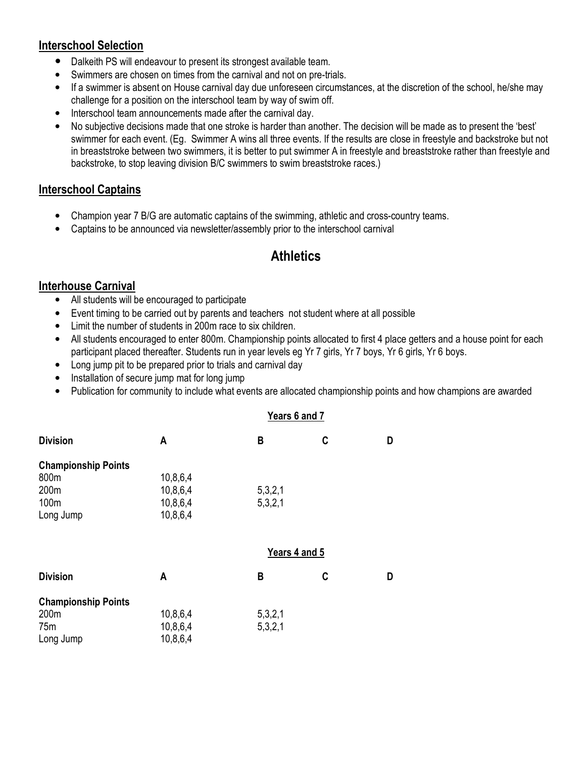## **Interschool Selection**

- Dalkeith PS will endeavour to present its strongest available team.
- Swimmers are chosen on times from the carnival and not on pre-trials.
- If a swimmer is absent on House carnival day due unforeseen circumstances, at the discretion of the school, he/she may challenge for a position on the interschool team by way of swim off.
- Interschool team announcements made after the carnival day.
- No subjective decisions made that one stroke is harder than another. The decision will be made as to present the 'best' swimmer for each event. (Eg. Swimmer A wins all three events. If the results are close in freestyle and backstroke but not in breaststroke between two swimmers, it is better to put swimmer A in freestyle and breaststroke rather than freestyle and backstroke, to stop leaving division B/C swimmers to swim breaststroke races.)

#### **Interschool Captains**

- Champion year 7 B/G are automatic captains of the swimming, athletic and cross-country teams.
- Captains to be announced via newsletter/assembly prior to the interschool carnival

# **Athletics**

#### **Interhouse Carnival**

- All students will be encouraged to participate
- Event timing to be carried out by parents and teachers not student where at all possible
- Limit the number of students in 200m race to six children.
- All students encouraged to enter 800m. Championship points allocated to first 4 place getters and a house point for each participant placed thereafter. Students run in year levels eg Yr 7 girls, Yr 7 boys, Yr 6 girls, Yr 6 boys.
- Long jump pit to be prepared prior to trials and carnival day
- Installation of secure jump mat for long jump
- Publication for community to include what events are allocated championship points and how champions are awarded

#### **Years 6 and 7**

| <b>Division</b>                    | A             | B       | C | D |
|------------------------------------|---------------|---------|---|---|
| <b>Championship Points</b>         |               |         |   |   |
| 800m                               | 10,8,6,4      |         |   |   |
| 200m                               | 10,8,6,4      | 5,3,2,1 |   |   |
| 100m                               | 10,8,6,4      | 5,3,2,1 |   |   |
| Long Jump                          | 10,8,6,4      |         |   |   |
|                                    | Years 4 and 5 |         |   |   |
| <b>Division</b>                    | A             | В       | C | D |
|                                    |               |         |   |   |
|                                    |               |         |   |   |
| <b>Championship Points</b><br>200m | 10,8,6,4      | 5,3,2,1 |   |   |
| 75m                                | 10,8,6,4      | 5,3,2,1 |   |   |